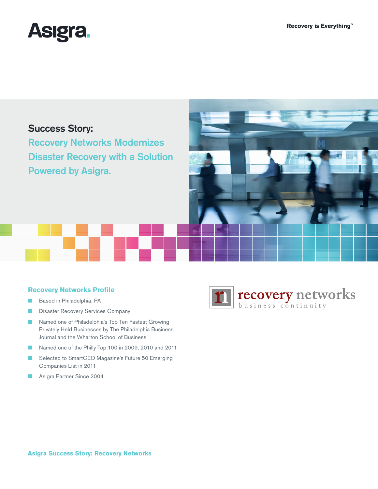

# Success Story:

Recovery Networks Modernizes Disaster Recovery with a Solution Powered by Asigra.



## **Recovery Networks Profile**

- Based in Philadelphia, PA
- **B** Disaster Recovery Services Company
- Named one of Philadelphia's Top Ten Fastest Growing Privately Held Businesses by The Philadelphia Business Journal and the Wharton School of Business
- Named one of the Philly Top 100 in 2009, 2010 and 2011
- Selected to SmartCEO Magazine's Future 50 Emerging Companies List in 2011
- Asigra Partner Since 2004

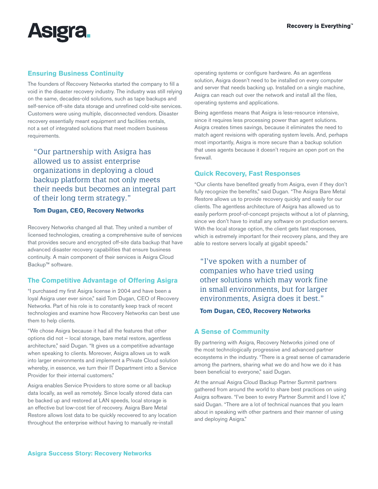

## **Ensuring Business Continuity**

The founders of Recovery Networks started the company to fill a void in the disaster recovery industry. The industry was still relying on the same, decades-old solutions, such as tape backups and self-service off-site data storage and unrefined cold-site services. Customers were using multiple, disconnected vendors. Disaster recovery essentially meant equipment and facilities rentals, not a set of integrated solutions that meet modern business requirements.

"Our partnership with Asigra has allowed us to assist enterprise organizations in deploying a cloud backup platform that not only meets their needs but becomes an integral part of their long term strategy."

### **Tom Dugan, CEO, Recovery Networks**

Recovery Networks changed all that. They united a number of licensed technologies, creating a comprehensive suite of services that provides secure and encrypted off-site data backup that have advanced disaster recovery capabilities that ensure business continuity. A main component of their services is Asigra Cloud Backup™ software.

## **The Competitive Advantage of Offering Asigra**

"I purchased my first Asigra license in 2004 and have been a loyal Asigra user ever since," said Tom Dugan, CEO of Recovery Networks. Part of his role is to constantly keep track of recent technologies and examine how Recovery Networks can best use them to help clients.

"We chose Asigra because it had all the features that other options did not – local storage, bare metal restore, agentless architecture," said Dugan. "It gives us a competitive advantage when speaking to clients. Moreover, Asigra allows us to walk into larger environments and implement a Private Cloud solution whereby, in essence, we turn their IT Department into a Service Provider for their internal customers."

Asigra enables Service Providers to store some or all backup data locally, as well as remotely. Since locally stored data can be backed up and restored at LAN speeds, local storage is an effective but low-cost tier of recovery. Asigra Bare Metal Restore allows lost data to be quickly recovered to any location throughout the enterprise without having to manually re-install

operating systems or configure hardware. As an agentless solution, Asigra doesn't need to be installed on every computer and server that needs backing up. Installed on a single machine, Asigra can reach out over the network and install all the files, operating systems and applications.

Being agentless means that Asigra is less-resource intensive, since it requires less processing power than agent solutions. Asigra creates times savings, because it eliminates the need to match agent revisions with operating system levels. And, perhaps most importantly, Asigra is more secure than a backup solution that uses agents because it doesn't require an open port on the firewall.

## **Quick Recovery, Fast Responses**

"Our clients have benefited greatly from Asigra, even if they don't fully recognize the benefits," said Dugan. "The Asigra Bare Metal Restore allows us to provide recovery quickly and easily for our clients. The agentless architecture of Asigra has allowed us to easily perform proof-of-concept projects without a lot of planning, since we don't have to install any software on production servers. With the local storage option, the client gets fast responses, which is extremely important for their recovery plans, and they are able to restore servers locally at gigabit speeds."

"I've spoken with a number of companies who have tried using other solutions which may work fine in small environments, but for larger environments, Asigra does it best."

#### **Tom Dugan, CEO, Recovery Networks**

#### **A Sense of Community**

By partnering with Asigra, Recovery Networks joined one of the most technologically progressive and advanced partner ecosystems in the industry. "There is a great sense of camaraderie among the partners, sharing what we do and how we do it has been beneficial to everyone," said Dugan.

At the annual Asigra Cloud Backup Partner Summit partners gathered from around the world to share best practices on using Asigra software. "I've been to every Partner Summit and I love it," said Dugan. "There are a lot of technical nuances that you learn about in speaking with other partners and their manner of using and deploying Asigra."